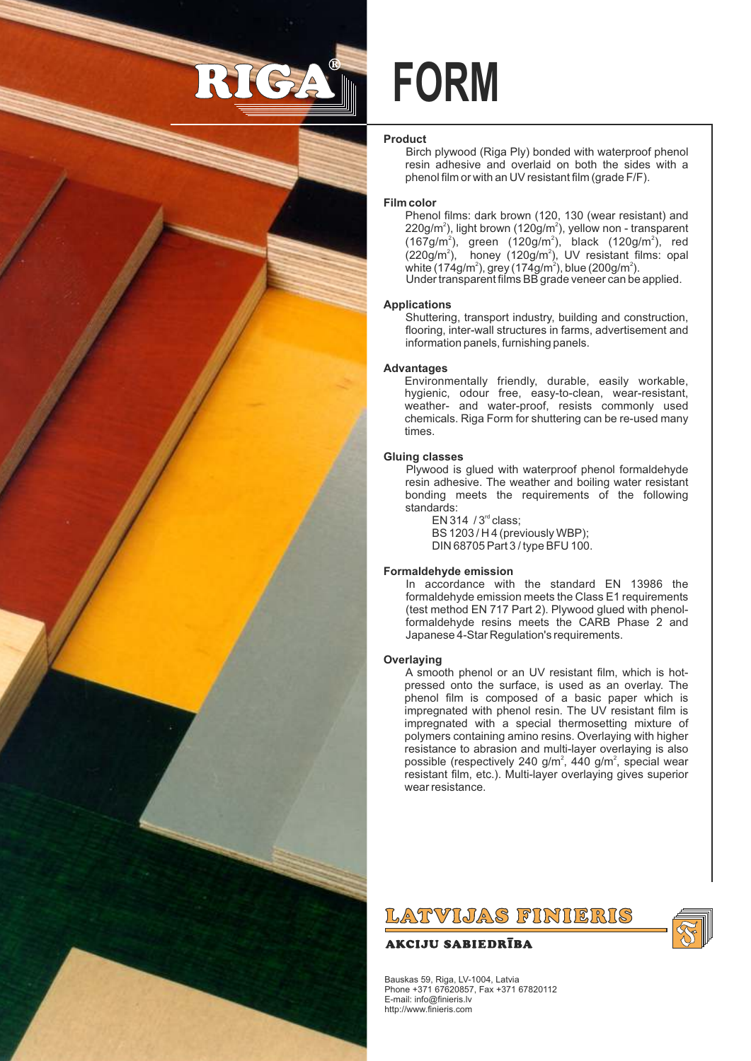

# **FORM**

# **Product**

Birch plywood (Riga Ply) bonded with waterproof phenol resin adhesive and overlaid on both the sides with a phenol film or with an UV resistant film (grade F/F).

# **Film color**

Phenol films: dark brown (120, 130 (wear resistant) and  $220$ g/m<sup>2</sup>), light brown (120g/m<sup>2</sup>), yellow non - transparent (167g/m<sup>2</sup>), green (120g/m<sup>2</sup>), black (120g/m<sup>2</sup>), red<br>(220g/m<sup>2</sup>), honey (120g/m<sup>2</sup>), UV resistant films: opal white (174g/m<sup>2</sup>), grey (174g/m<sup>2</sup>), blue (200g/m<sup>2</sup>). Under transparent films BB grade veneer can be applied.

## **Applications**

Shuttering, transport industry, building and construction, flooring, inter-wall structures in farms, advertisement and information panels, furnishing panels.

## **Advantages**

Environmentally friendly, durable, easily workable, hygienic, odour free, easy-to-clean, wear-resistant, weather- and water-proof, resists commonly used chemicals. Riga Form for shuttering can be re-used many times.

#### **Gluing classes**

Plywood is glued with waterproof phenol formaldehyde resin adhesive. The weather and boiling water resistant bonding meets the requirements of the following standards:

 $EN 314 / 3<sup>rd</sup> class:$ BS 1203 / H 4 (previously WBP); DIN 68705 Part 3 / type BFU 100.

## **Formaldehyde emission**

In accordance with the standard EN 13986 the formaldehyde emission meets the Class E1 requirements (test method EN 717 Part 2). Plywood glued with phenolformaldehyde resins meets the CARB Phase 2 and Japanese 4-Star Regulation's requirements.

#### **Overlaying**

A smooth phenol or an UV resistant film, which is hotpressed onto the surface, is used as an overlay. The phenol film is composed of a basic paper which is impregnated with phenol resin. The UV resistant film is impregnated with a special thermosetting mixture of polymers containing amino resins. Overlaying with higher resistance to abrasion and multi-layer overlaying is also possible (respectively 240 g/m<sup>2</sup>, 440 g/m<sup>2</sup>, special wear resistant film, etc.). Multi-layer overlaying gives superior wear resistance.

LATVIJAS FINIERIS

# **AKCIJU SABIEDRĪBA**

Bauskas 59, Riga, LV-1004, Latvia Phone +371 67620857, Fax +371 67820112 E-mail: info@finieris.lv http://www.finieris.com